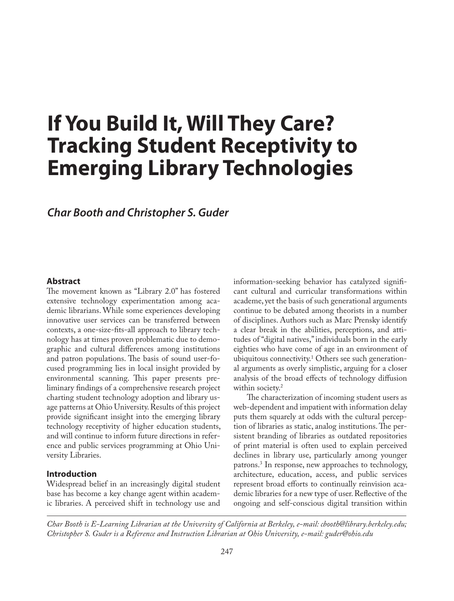# **If You Build It, Will They Care? Tracking Student Receptivity to Emerging Library Technologies**

## *Char Booth and Christopher S. Guder*

### **Abstract**

The movement known as "Library 2.0" has fostered extensive technology experimentation among academic librarians. While some experiences developing innovative user services can be transferred between contexts, a one-size-fits-all approach to library technology has at times proven problematic due to demographic and cultural differences among institutions and patron populations. The basis of sound user-focused programming lies in local insight provided by environmental scanning. This paper presents preliminary findings of a comprehensive research project charting student technology adoption and library usage patterns at Ohio University. Results of this project provide significant insight into the emerging library technology receptivity of higher education students, and will continue to inform future directions in reference and public services programming at Ohio University Libraries.

#### **Introduction**

Widespread belief in an increasingly digital student base has become a key change agent within academic libraries. A perceived shift in technology use and information-seeking behavior has catalyzed significant cultural and curricular transformations within academe, yet the basis of such generational arguments continue to be debated among theorists in a number of disciplines. Authors such as Marc Prensky identify a clear break in the abilities, perceptions, and attitudes of "digital natives," individuals born in the early eighties who have come of age in an environment of ubiquitous connectivity.1 Others see such generational arguments as overly simplistic, arguing for a closer analysis of the broad effects of technology diffusion within society.<sup>2</sup>

The characterization of incoming student users as web-dependent and impatient with information delay puts them squarely at odds with the cultural perception of libraries as static, analog institutions. The persistent branding of libraries as outdated repositories of print material is often used to explain perceived declines in library use, particularly among younger patrons.3 In response, new approaches to technology, architecture, education, access, and public services represent broad efforts to continually reinvision academic libraries for a new type of user. Reflective of the ongoing and self-conscious digital transition within

*Char Booth is E-Learning Librarian at the University of California at Berkeley, e-mail: cbooth@library.berkeley.edu; Christopher S. Guder is a Reference and Instruction Librarian at Ohio University, e-mail: guder@ohio.edu*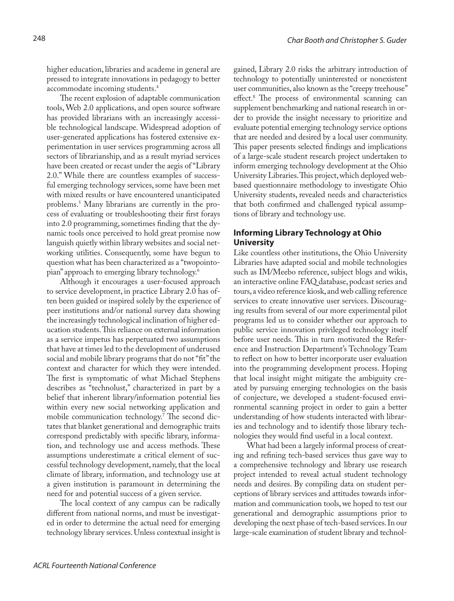higher education, libraries and academe in general are pressed to integrate innovations in pedagogy to better accommodate incoming students.4

The recent explosion of adaptable communication tools, Web 2.0 applications, and open source software has provided librarians with an increasingly accessible technological landscape. Widespread adoption of user-generated applications has fostered extensive experimentation in user services programming across all sectors of librarianship, and as a result myriad services have been created or recast under the aegis of "Library 2.0." While there are countless examples of successful emerging technology services, some have been met with mixed results or have encountered unanticipated problems.5 Many librarians are currently in the process of evaluating or troubleshooting their first forays into 2.0 programming, sometimes finding that the dynamic tools once perceived to hold great promise now languish quietly within library websites and social networking utilities. Consequently, some have begun to question what has been characterized as a "twopointopian" approach to emerging library technology.6

Although it encourages a user-focused approach to service development, in practice Library 2.0 has often been guided or inspired solely by the experience of peer institutions and/or national survey data showing the increasingly technological inclination of higher education students. This reliance on external information as a service impetus has perpetuated two assumptions that have at times led to the development of underused social and mobile library programs that do not "fit" the context and character for which they were intended. The first is symptomatic of what Michael Stephens describes as "technolust," characterized in part by a belief that inherent library/information potential lies within every new social networking application and mobile communication technology.7 The second dictates that blanket generational and demographic traits correspond predictably with specific library, information, and technology use and access methods. These assumptions underestimate a critical element of successful technology development, namely, that the local climate of library, information, and technology use at a given institution is paramount in determining the need for and potential success of a given service.

The local context of any campus can be radically different from national norms, and must be investigated in order to determine the actual need for emerging technology library services. Unless contextual insight is

gained, Library 2.0 risks the arbitrary introduction of technology to potentially uninterested or nonexistent user communities, also known as the "creepy treehouse" effect.8 The process of environmental scanning can supplement benchmarking and national research in order to provide the insight necessary to prioritize and evaluate potential emerging technology service options that are needed and desired by a local user community. This paper presents selected findings and implications of a large-scale student research project undertaken to inform emerging technology development at the Ohio University Libraries. This project, which deployed webbased questionnaire methodology to investigate Ohio University students, revealed needs and characteristics that both confirmed and challenged typical assumptions of library and technology use.

## **Informing Library Technology at Ohio University**

Like countless other institutions, the Ohio University Libraries have adapted social and mobile technologies such as IM/Meebo reference, subject blogs and wikis, an interactive online FAQ database, podcast series and tours, a video reference kiosk, and web calling reference services to create innovative user services. Discouraging results from several of our more experimental pilot programs led us to consider whether our approach to public service innovation privileged technology itself before user needs. This in turn motivated the Reference and Instruction Department's Technology Team to reflect on how to better incorporate user evaluation into the programming development process. Hoping that local insight might mitigate the ambiguity created by pursuing emerging technologies on the basis of conjecture, we developed a student-focused environmental scanning project in order to gain a better understanding of how students interacted with libraries and technology and to identify those library technologies they would find useful in a local context.

What had been a largely informal process of creating and refining tech-based services thus gave way to a comprehensive technology and library use research project intended to reveal actual student technology needs and desires. By compiling data on student perceptions of library services and attitudes towards information and communication tools, we hoped to test our generational and demographic assumptions prior to developing the next phase of tech-based services. In our large-scale examination of student library and technol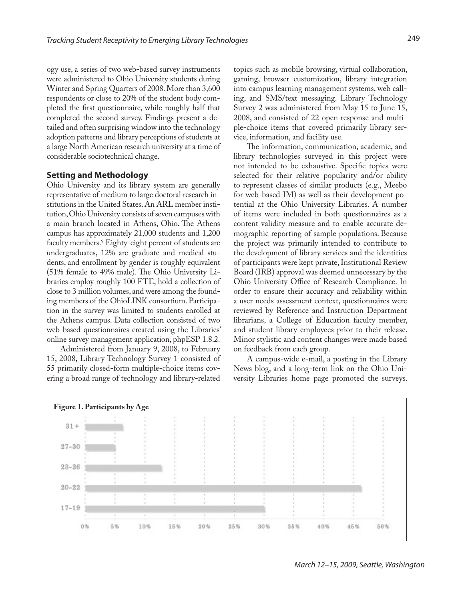ogy use, a series of two web-based survey instruments were administered to Ohio University students during Winter and Spring Quarters of 2008. More than 3,600 respondents or close to 20% of the student body completed the first questionnaire, while roughly half that completed the second survey. Findings present a detailed and often surprising window into the technology adoption patterns and library perceptions of students at a large North American research university at a time of considerable sociotechnical change.

#### **Setting and Methodology**

Ohio University and its library system are generally representative of medium to large doctoral research institutions in the United States. An ARL member institution, Ohio University consists of seven campuses with a main branch located in Athens, Ohio. The Athens campus has approximately 21,000 students and 1,200 faculty members.9 Eighty-eight percent of students are undergraduates, 12% are graduate and medical students, and enrollment by gender is roughly equivalent (51% female to 49% male). The Ohio University Libraries employ roughly 100 FTE, hold a collection of close to 3 million volumes, and were among the founding members of the OhioLINK consortium. Participation in the survey was limited to students enrolled at the Athens campus. Data collection consisted of two web-based questionnaires created using the Libraries' online survey management application, phpESP 1.8.2.

Administered from January 9, 2008, to February 15, 2008, Library Technology Survey 1 consisted of 55 primarily closed-form multiple-choice items covering a broad range of technology and library-related

topics such as mobile browsing, virtual collaboration, gaming, browser customization, library integration into campus learning management systems, web calling, and SMS/text messaging. Library Technology Survey 2 was administered from May 15 to June 15, 2008, and consisted of 22 open response and multiple-choice items that covered primarily library service, information, and facility use.

The information, communication, academic, and library technologies surveyed in this project were not intended to be exhaustive. Specific topics were selected for their relative popularity and/or ability to represent classes of similar products (e.g., Meebo for web-based IM) as well as their development potential at the Ohio University Libraries. A number of items were included in both questionnaires as a content validity measure and to enable accurate demographic reporting of sample populations. Because the project was primarily intended to contribute to the development of library services and the identities of participants were kept private, Institutional Review Board (IRB) approval was deemed unnecessary by the Ohio University Office of Research Compliance. In order to ensure their accuracy and reliability within a user needs assessment context, questionnaires were reviewed by Reference and Instruction Department librarians, a College of Education faculty member, and student library employees prior to their release. Minor stylistic and content changes were made based on feedback from each group.

A campus-wide e-mail, a posting in the Library News blog, and a long-term link on the Ohio University Libraries home page promoted the surveys.

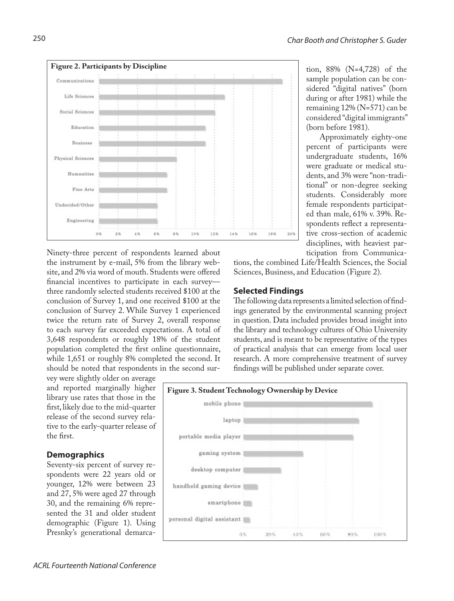

Ninety-three percent of respondents learned about the instrument by e-mail, 5% from the library website, and 2% via word of mouth. Students were offered financial incentives to participate in each survey three randomly selected students received \$100 at the conclusion of Survey 1, and one received \$100 at the conclusion of Survey 2. While Survey 1 experienced twice the return rate of Survey 2, overall response to each survey far exceeded expectations. A total of 3,648 respondents or roughly 18% of the student population completed the first online questionnaire, while 1,651 or roughly 8% completed the second. It should be noted that respondents in the second sur-

vey were slightly older on average and reported marginally higher library use rates that those in the first, likely due to the mid-quarter release of the second survey relative to the early-quarter release of the first.

## **Demographics**

Seventy-six percent of survey respondents were 22 years old or younger, 12% were between 23 and 27, 5% were aged 27 through 30, and the remaining 6% represented the 31 and older student demographic (Figure 1). Using Presnky's generational demarcations, the combined Life/Health Sciences, the Social Sciences, Business, and Education (Figure 2).

## **Selected Findings**

The following data represents a limited selection of findings generated by the environmental scanning project in question. Data included provides broad insight into the library and technology cultures of Ohio University students, and is meant to be representative of the types of practical analysis that can emerge from local user research. A more comprehensive treatment of survey findings will be published under separate cover.



tion, 88% (N=4,728) of the sample population can be considered "digital natives" (born during or after 1981) while the remaining 12% (N=571) can be considered "digital immigrants" (born before 1981).

Approximately eighty-one percent of participants were undergraduate students, 16% were graduate or medical students, and 3% were "non-traditional" or non-degree seeking students. Considerably more female respondents participated than male, 61% v. 39%. Respondents reflect a representative cross-section of academic disciplines, with heaviest participation from Communica-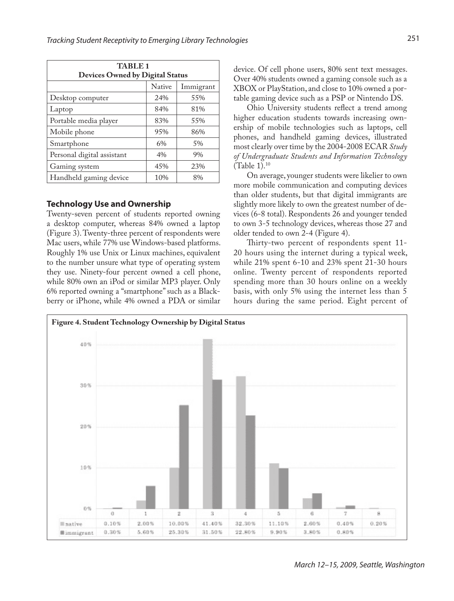| TABLE 1<br><b>Devices Owned by Digital Status</b> |               |           |  |  |
|---------------------------------------------------|---------------|-----------|--|--|
|                                                   | <b>Native</b> | Immigrant |  |  |
| Desktop computer                                  | 2.4%          | 55%       |  |  |
| Laptop                                            | 84%           | 81%       |  |  |
| Portable media player                             | 83%           | 55%       |  |  |
| Mobile phone                                      | 95%           | 86%       |  |  |
| Smartphone                                        | 6%            | 5%        |  |  |
| Personal digital assistant                        | $4\%$         | 9%        |  |  |
| Gaming system                                     | 45%           | 23%       |  |  |
| Handheld gaming device                            | 10%           | 8%        |  |  |

## **Technology Use and Ownership**

Twenty-seven percent of students reported owning a desktop computer, whereas 84% owned a laptop (Figure 3). Twenty-three percent of respondents were Mac users, while 77% use Windows-based platforms. Roughly 1% use Unix or Linux machines, equivalent to the number unsure what type of operating system they use. Ninety-four percent owned a cell phone, while 80% own an iPod or similar MP3 player. Only 6% reported owning a "smartphone" such as a Blackberry or iPhone, while 4% owned a PDA or similar

device. Of cell phone users, 80% sent text messages. Over 40% students owned a gaming console such as a XBOX or PlayStation, and close to 10% owned a portable gaming device such as a PSP or Nintendo DS.

Ohio University students reflect a trend among higher education students towards increasing ownership of mobile technologies such as laptops, cell phones, and handheld gaming devices, illustrated most clearly over time by the 2004-2008 ECAR *Study of Undergraduate Students and Information Technology*  (Table 1).10

On average, younger students were likelier to own more mobile communication and computing devices than older students, but that digital immigrants are slightly more likely to own the greatest number of devices (6-8 total). Respondents 26 and younger tended to own 3-5 technology devices, whereas those 27 and older tended to own 2-4 (Figure 4).

Thirty-two percent of respondents spent 11- 20 hours using the internet during a typical week, while 21% spent 6-10 and 23% spent 21-30 hours online. Twenty percent of respondents reported spending more than 30 hours online on a weekly basis, with only 5% using the internet less than 5 hours during the same period. Eight percent of



*March 12–15, 2009, Seattle, Washington*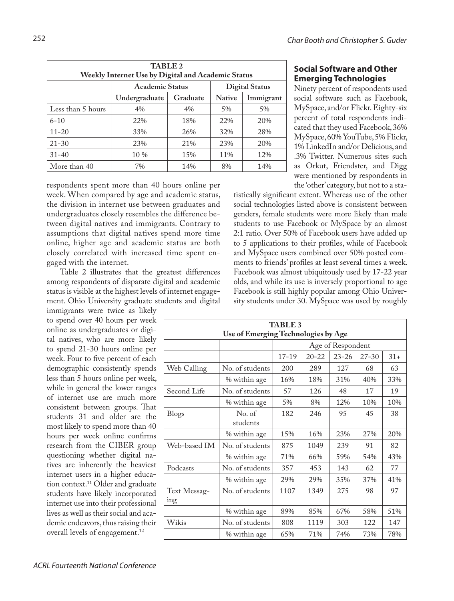| <b>TABLE 2</b><br>Weekly Internet Use by Digital and Academic Status |                        |                       |               |           |  |
|----------------------------------------------------------------------|------------------------|-----------------------|---------------|-----------|--|
|                                                                      | <b>Academic Status</b> | <b>Digital Status</b> |               |           |  |
|                                                                      | Undergraduate          | Graduate              | <b>Native</b> | Immigrant |  |
| Less than 5 hours                                                    | 4%                     | $4\%$                 | 5%            | 5%        |  |
| $6 - 10$                                                             | 22%                    | 18%                   | 22%           | 20%       |  |
| $11 - 20$                                                            | 33%                    | 26%                   | 32%           | 28%       |  |
| $21 - 30$                                                            | 23%                    | 21%                   | 23%           | 20%       |  |
| $31 - 40$                                                            | $10\%$                 | 1.5%                  | 11%           | 12%       |  |
| More than 40                                                         | 7%                     | 14%                   | 8%            | 14%       |  |

respondents spent more than 40 hours online per week. When compared by age and academic status, the division in internet use between graduates and undergraduates closely resembles the difference between digital natives and immigrants. Contrary to assumptions that digital natives spend more time online, higher age and academic status are both closely correlated with increased time spent engaged with the internet.

Table 2 illustrates that the greatest differences among respondents of disparate digital and academic status is visible at the highest levels of internet engagement. Ohio University graduate students and digital

immigrants were twice as likely to spend over 40 hours per week online as undergraduates or digital natives, who are more likely to spend 21-30 hours online per week. Four to five percent of each demographic consistently spends less than 5 hours online per week, while in general the lower ranges of internet use are much more consistent between groups. That students 31 and older are the most likely to spend more than 40 hours per week online confirms research from the CIBER group questioning whether digital natives are inherently the heaviest internet users in a higher education context.<sup>11</sup> Older and graduate students have likely incorporated internet use into their professional lives as well as their social and academic endeavors, thus raising their overall levels of engagement.<sup>12</sup>

**Social Software and Other Emerging Technologies**

Ninety percent of respondents used social software such as Facebook, MySpace, and/or Flickr. Eighty-six percent of total respondents indicated that they used Facebook, 36% MySpace, 60% YouTube, 5% Flickr, 1% LinkedIn and/or Delicious, and .3% Twitter. Numerous sites such as Orkut, Friendster, and Digg were mentioned by respondents in the 'other' category, but not to a sta-

tistically significant extent. Whereas use of the other social technologies listed above is consistent between genders, female students were more likely than male students to use Facebook or MySpace by an almost 2:1 ratio. Over 50% of Facebook users have added up to 5 applications to their profiles, while of Facebook and MySpace users combined over 50% posted comments to friends' profiles at least several times a week. Facebook was almost ubiquitously used by 17-22 year olds, and while its use is inversely proportional to age Facebook is still highly popular among Ohio University students under 30. MySpace was used by roughly

| <b>TABLE 3</b>                      |                    |                   |           |           |           |       |
|-------------------------------------|--------------------|-------------------|-----------|-----------|-----------|-------|
| Use of Emerging Technologies by Age |                    |                   |           |           |           |       |
|                                     |                    | Age of Respondent |           |           |           |       |
|                                     |                    | $17 - 19$         | $20 - 22$ | $23 - 26$ | $27 - 30$ | $31+$ |
| Web Calling                         | No. of students    | 200               | 289       | 127       | 68        | 63    |
|                                     | % within age       | 16%               | 18%       | 31%       | 40%       | 33%   |
| Second Life                         | No. of students    | 57                | 126       | 48        | 17        | 19    |
|                                     | % within age       | 5%                | 8%        | 12%       | 10%       | 10%   |
| <b>Blogs</b>                        | No. of<br>students | 182               | 246       | 95        | 45        | 38    |
|                                     | % within age       | 15%               | 16%       | 23%       | 27%       | 20%   |
| Web-based IM                        | No. of students    | 875               | 1049      | 239       | 91        | 82    |
|                                     | % within age       | 71%               | 66%       | 59%       | 54%       | 43%   |
| Podcasts                            | No. of students    | 357               | 453       | 143       | 62        | 77    |
|                                     | % within age       | 29%               | 29%       | 35%       | 37%       | 41%   |
| Text Messag-<br>ing                 | No. of students    | 1107              | 1349      | 275       | 98        | 97    |
|                                     | % within age       | 89%               | 85%       | 67%       | 58%       | 51%   |
| Wikis                               | No. of students    | 808               | 1119      | 303       | 122       | 147   |
|                                     | % within age       | 65%               | 71%       | 74%       | 73%       | 78%   |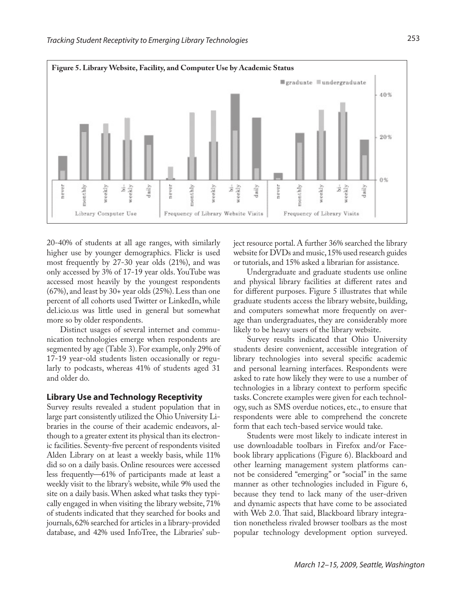

20-40% of students at all age ranges, with similarly higher use by younger demographics. Flickr is used most frequently by 27-30 year olds (21%), and was only accessed by 3% of 17-19 year olds. YouTube was accessed most heavily by the youngest respondents (67%), and least by 30+ year olds (25%). Less than one percent of all cohorts used Twitter or LinkedIn, while del.icio.us was little used in general but somewhat more so by older respondents.

Distinct usages of several internet and communication technologies emerge when respondents are segmented by age (Table 3). For example, only 29% of 17-19 year-old students listen occasionally or regularly to podcasts, whereas 41% of students aged 31 and older do.

### **Library Use and Technology Receptivity**

Survey results revealed a student population that in large part consistently utilized the Ohio University Libraries in the course of their academic endeavors, although to a greater extent its physical than its electronic facilities. Seventy-five percent of respondents visited Alden Library on at least a weekly basis, while 11% did so on a daily basis. Online resources were accessed less frequently—61% of participants made at least a weekly visit to the library's website, while 9% used the site on a daily basis. When asked what tasks they typically engaged in when visiting the library website, 71% of students indicated that they searched for books and journals, 62% searched for articles in a library-provided database, and 42% used InfoTree, the Libraries' subject resource portal. A further 36% searched the library website for DVDs and music, 15% used research guides or tutorials, and 15% asked a librarian for assistance.

Undergraduate and graduate students use online and physical library facilities at different rates and for different purposes. Figure 5 illustrates that while graduate students access the library website, building, and computers somewhat more frequently on average than undergraduates, they are considerably more likely to be heavy users of the library website.

Survey results indicated that Ohio University students desire convenient, accessible integration of library technologies into several specific academic and personal learning interfaces. Respondents were asked to rate how likely they were to use a number of technologies in a library context to perform specific tasks. Concrete examples were given for each technology, such as SMS overdue notices, etc., to ensure that respondents were able to comprehend the concrete form that each tech-based service would take.

Students were most likely to indicate interest in use downloadable toolbars in Firefox and/or Facebook library applications (Figure 6). Blackboard and other learning management system platforms cannot be considered "emerging" or "social" in the same manner as other technologies included in Figure 6, because they tend to lack many of the user-driven and dynamic aspects that have come to be associated with Web 2.0. That said, Blackboard library integration nonetheless rivaled browser toolbars as the most popular technology development option surveyed.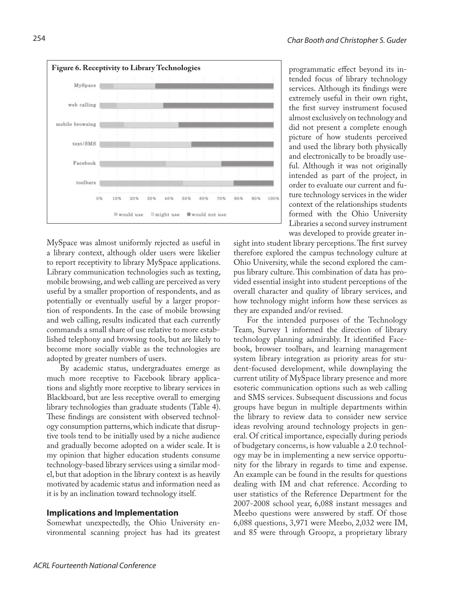

MySpace was almost uniformly rejected as useful in a library context, although older users were likelier to report receptivity to library MySpace applications. Library communication technologies such as texting, mobile browsing, and web calling are perceived as very useful by a smaller proportion of respondents, and as potentially or eventually useful by a larger proportion of respondents. In the case of mobile browsing and web calling, results indicated that each currently commands a small share of use relative to more established telephony and browsing tools, but are likely to become more socially viable as the technologies are adopted by greater numbers of users.

By academic status, undergraduates emerge as much more receptive to Facebook library applications and slightly more receptive to library services in Blackboard, but are less receptive overall to emerging library technologies than graduate students (Table 4). These findings are consistent with observed technology consumption patterns, which indicate that disruptive tools tend to be initially used by a niche audience and gradually become adopted on a wider scale. It is my opinion that higher education students consume technology-based library services using a similar model, but that adoption in the library context is as heavily motivated by academic status and information need as it is by an inclination toward technology itself.

### **Implications and Implementation**

Somewhat unexpectedly, the Ohio University environmental scanning project has had its greatest programmatic effect beyond its intended focus of library technology services. Although its findings were extremely useful in their own right, the first survey instrument focused almost exclusively on technology and did not present a complete enough picture of how students perceived and used the library both physically and electronically to be broadly useful. Although it was not originally intended as part of the project, in order to evaluate our current and future technology services in the wider context of the relationships students formed with the Ohio University Libraries a second survey instrument was developed to provide greater in-

sight into student library perceptions. The first survey therefore explored the campus technology culture at Ohio University, while the second explored the campus library culture. This combination of data has provided essential insight into student perceptions of the overall character and quality of library services, and how technology might inform how these services as they are expanded and/or revised.

For the intended purposes of the Technology Team, Survey 1 informed the direction of library technology planning admirably. It identified Facebook, browser toolbars, and learning management system library integration as priority areas for student-focused development, while downplaying the current utility of MySpace library presence and more esoteric communication options such as web calling and SMS services. Subsequent discussions and focus groups have begun in multiple departments within the library to review data to consider new service ideas revolving around technology projects in general. Of critical importance, especially during periods of budgetary concerns, is how valuable a 2.0 technology may be in implementing a new service opportunity for the library in regards to time and expense. An example can be found in the results for questions dealing with IM and chat reference. According to user statistics of the Reference Department for the 2007-2008 school year, 6,088 instant messages and Meebo questions were answered by staff. Of those 6,088 questions, 3,971 were Meebo, 2,032 were IM, and 85 were through Groopz, a proprietary library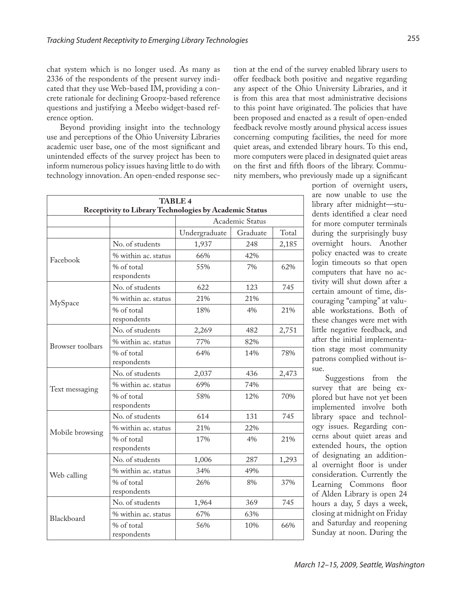chat system which is no longer used. As many as 2336 of the respondents of the present survey indicated that they use Web-based IM, providing a concrete rationale for declining Groopz-based reference questions and justifying a Meebo widget-based reference option.

Beyond providing insight into the technology use and perceptions of the Ohio University Libraries academic user base, one of the most significant and unintended effects of the survey project has been to inform numerous policy issues having little to do with technology innovation. An open-ended response section at the end of the survey enabled library users to offer feedback both positive and negative regarding any aspect of the Ohio University Libraries, and it is from this area that most administrative decisions to this point have originated. The policies that have been proposed and enacted as a result of open-ended feedback revolve mostly around physical access issues concerning computing facilities, the need for more quiet areas, and extended library hours. To this end, more computers were placed in designated quiet areas on the first and fifth floors of the library. Community members, who previously made up a significant

| <b>TABLE 4</b><br>Receptivity to Library Technologies by Academic Status |                           |                 |          |       |
|--------------------------------------------------------------------------|---------------------------|-----------------|----------|-------|
|                                                                          |                           | Academic Status |          |       |
|                                                                          |                           | Undergraduate   | Graduate | Total |
| Facebook                                                                 | No. of students           | 1,937           | 248      | 2,185 |
|                                                                          | % within ac. status       | 66%             | 42%      |       |
|                                                                          | % of total<br>respondents | 55%             | 7%       | 62%   |
|                                                                          | No. of students           | 622             | 123      | 745   |
| MySpace                                                                  | % within ac. status       | 21%             | 21%      |       |
|                                                                          | % of total<br>respondents | 18%             | 4%       | 21%   |
|                                                                          | No. of students           | 2,269           | 482      | 2,751 |
| Browser toolbars                                                         | % within ac. status       | 77%             | 82%      |       |
|                                                                          | % of total<br>respondents | 64%             | 14%      | 78%   |
|                                                                          | No. of students           | 2,037           | 436      | 2,473 |
| Text messaging                                                           | % within ac. status       | 69%             | 74%      |       |
|                                                                          | % of total<br>respondents | 58%             | 12%      | 70%   |
| Mobile browsing                                                          | No. of students           | 614             | 131      | 745   |
|                                                                          | % within ac. status       | 21%             | 22%      |       |
|                                                                          | % of total<br>respondents | 17%             | 4%       | 21%   |
| Web calling                                                              | No. of students           | 1,006           | 287      | 1,293 |
|                                                                          | % within ac. status       | 34%             | 49%      |       |
|                                                                          | % of total<br>respondents | 26%             | 8%       | 37%   |
|                                                                          | No. of students           | 1,964           | 369      | 745   |
| Blackboard                                                               | % within ac. status       | 67%             | 63%      |       |
|                                                                          | % of total<br>respondents | 56%             | 10%      | 66%   |

portion of overnight users, are now unable to use the library after midnight—students identified a clear need for more computer terminals during the surprisingly busy overnight hours. Another policy enacted was to create login timeouts so that open computers that have no activity will shut down after a certain amount of time, discouraging "camping" at valuable workstations. Both of these changes were met with little negative feedback, and after the initial implementation stage most community patrons complied without issue.

Suggestions from the survey that are being explored but have not yet been implemented involve both library space and technology issues. Regarding concerns about quiet areas and extended hours, the option of designating an additional overnight floor is under consideration. Currently the Learning Commons floor of Alden Library is open 24 hours a day, 5 days a week, closing at midnight on Friday and Saturday and reopening Sunday at noon. During the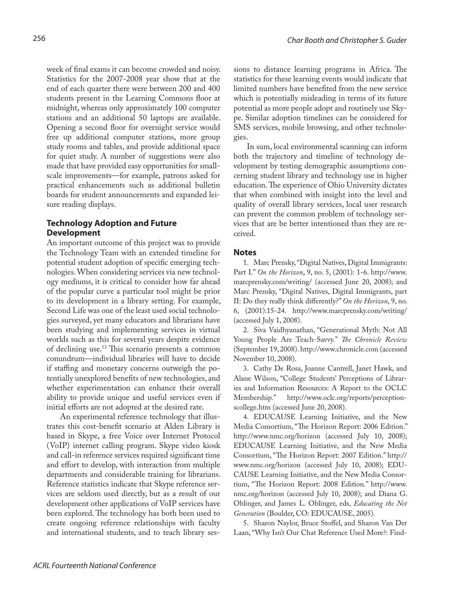week of final exams it can become crowded and noisy. Statistics for the 2007-2008 year show that at the end of each quarter there were between 200 and 400 students present in the Learning Commons floor at midnight, whereas only approximately 100 computer stations and an additional 50 laptops are available. Opening a second floor for overnight service would free up additional computer stations, more group study rooms and tables, and provide additional space for quiet study. A number of suggestions were also made that have provided easy opportunities for smallscale improvements—for example, patrons asked for practical enhancements such as additional bulletin boards for student announcements and expanded leisure reading displays.

## **Technology Adoption and Future Development**

An important outcome of this project was to provide the Technology Team with an extended timeline for potential student adoption of specific emerging technologies. When considering services via new technology mediums, it is critical to consider how far ahead of the popular curve a particular tool might be prior to its development in a library setting. For example, Second Life was one of the least used social technologies surveyed, yet many educators and librarians have been studying and implementing services in virtual worlds such as this for several years despite evidence of declining use.13 This scenario presents a common conundrum—individual libraries will have to decide if staffing and monetary concerns outweigh the potentially unexplored benefits of new technologies, and whether experimentation can enhance their overall ability to provide unique and useful services even if initial efforts are not adopted at the desired rate.

An experimental reference technology that illustrates this cost-benefit scenario at Alden Library is based in Skype, a free Voice over Internet Protocol (VoIP) internet calling program. Skype video kiosk and call-in reference services required significant time and effort to develop, with interaction from multiple departments and considerable training for librarians. Reference statistics indicate that Skype reference services are seldom used directly, but as a result of our development other applications of VoIP services have been explored. The technology has both been used to create ongoing reference relationships with faculty and international students, and to teach library sessions to distance learning programs in Africa. The statistics for these learning events would indicate that limited numbers have benefited from the new service which is potentially misleading in terms of its future potential as more people adopt and routinely use Skype. Similar adoption timelines can be considered for SMS services, mobile browsing, and other technologies.

In sum, local environmental scanning can inform both the trajectory and timeline of technology development by testing demographic assumptions concerning student library and technology use in higher education. The experience of Ohio University dictates that when combined with insight into the level and quality of overall library services, local user research can prevent the common problem of technology services that are be better intentioned than they are received.

#### **Notes**

1. Marc Prensky, "Digital Natives, Digital Immigrants: Part I." *On the Horizon*, 9, no. 5, (2001): 1-6. http://www. marcprensky.com/writing/ (accessed June 20, 2008); and Marc Prensky, "Digital Natives, Digital Immigrants, part II: Do they really think differently?" *On the Horizon*, 9, no. 6, (2001):15-24. http://www.marcprensky.com/writing/ (accessed July 1, 2008).

2. Siva Vaidhyanathan, "Generational Myth: Not All Young People Are Teach-Savvy." *The Chronicle Review* (September 19, 2008). http://www.chronicle.com (accessed November 10, 2008).

3. Cathy De Rosa, Joanne Cantrell, Janet Hawk, and Alane Wilson, "College Students' Perceptions of Libraries and Information Resources: A Report to the OCLC Membership." http://www.oclc.org/reports/perceptionscollege.htm (accessed June 20, 2008).

4. EDUCAUSE Learning Initiative, and the New Media Consortium, "The Horizon Report: 2006 Edition." http://www.nmc.org/horizon (accessed July 10, 2008); EDUCAUSE Learning Initiative, and the New Media Consortium, "The Horizon Report: 2007 Edition." http:// www.nmc.org/horizon (accessed July 10, 2008); EDU-CAUSE Learning Initiative, and the New Media Consortium, "The Horizon Report: 2008 Edition." http://www. nmc.org/horizon (accessed July 10, 2008); and Diana G. Oblinger, and James L. Oblinger, eds, *Educating the Net Generation* (Boulder, CO: EDUCAUSE, 2005).

5. Sharon Naylor, Bruce Stoffel, and Sharon Van Der Laan, "Why Isn't Our Chat Reference Used More?: Find